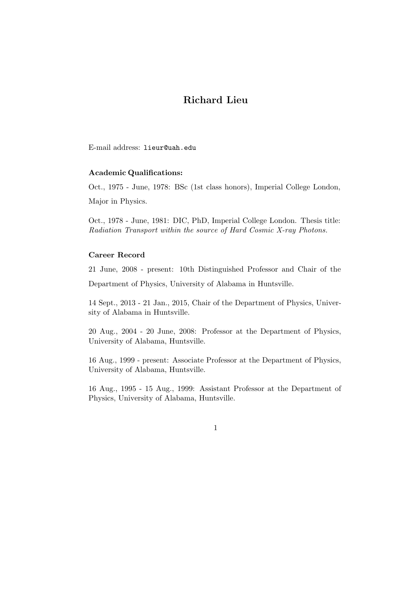# **Richard Lieu**

E-mail address: lieur@uah.edu

# **Academic Qualifications:**

Oct., 1975 - June, 1978: BSc (1st class honors), Imperial College London, Major in Physics.

Oct., 1978 - June, 1981: DIC, PhD, Imperial College London. Thesis title: *Radiation Transport within the source of Hard Cosmic X-ray Photons.*

#### **Career Record**

21 June, 2008 - present: 10th Distinguished Professor and Chair of the

Department of Physics, University of Alabama in Huntsville.

14 Sept., 2013 - 21 Jan., 2015, Chair of the Department of Physics, University of Alabama in Huntsville.

20 Aug., 2004 - 20 June, 2008: Professor at the Department of Physics, University of Alabama, Huntsville.

16 Aug., 1999 - present: Associate Professor at the Department of Physics, University of Alabama, Huntsville.

16 Aug., 1995 - 15 Aug., 1999: Assistant Professor at the Department of Physics, University of Alabama, Huntsville.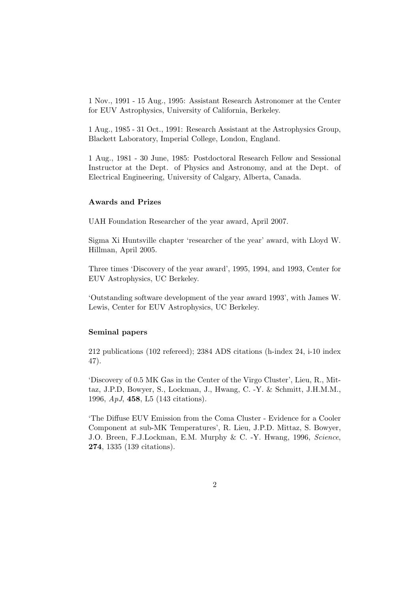1 Nov., 1991 - 15 Aug., 1995: Assistant Research Astronomer at the Center for EUV Astrophysics, University of California, Berkeley.

1 Aug., 1985 - 31 Oct., 1991: Research Assistant at the Astrophysics Group, Blackett Laboratory, Imperial College, London, England.

1 Aug., 1981 - 30 June, 1985: Postdoctoral Research Fellow and Sessional Instructor at the Dept. of Physics and Astronomy, and at the Dept. of Electrical Engineering, University of Calgary, Alberta, Canada.

#### **Awards and Prizes**

UAH Foundation Researcher of the year award, April 2007.

Sigma Xi Huntsville chapter 'researcher of the year' award, with Lloyd W. Hillman, April 2005.

Three times 'Discovery of the year award', 1995, 1994, and 1993, Center for EUV Astrophysics, UC Berkeley.

'Outstanding software development of the year award 1993', with James W. Lewis, Center for EUV Astrophysics, UC Berkeley.

## **Seminal papers**

212 publications (102 refereed); 2384 ADS citations (h-index 24, i-10 index 47).

'Discovery of 0.5 MK Gas in the Center of the Virgo Cluster', Lieu, R., Mittaz, J.P.D, Bowyer, S., Lockman, J., Hwang, C. -Y. & Schmitt, J.H.M.M., 1996, *ApJ*, **458**, L5 (143 citations).

'The Diffuse EUV Emission from the Coma Cluster - Evidence for a Cooler Component at sub-MK Temperatures', R. Lieu, J.P.D. Mittaz, S. Bowyer, J.O. Breen, F.J.Lockman, E.M. Murphy & C. -Y. Hwang, 1996, *Science*, **274**, 1335 (139 citations).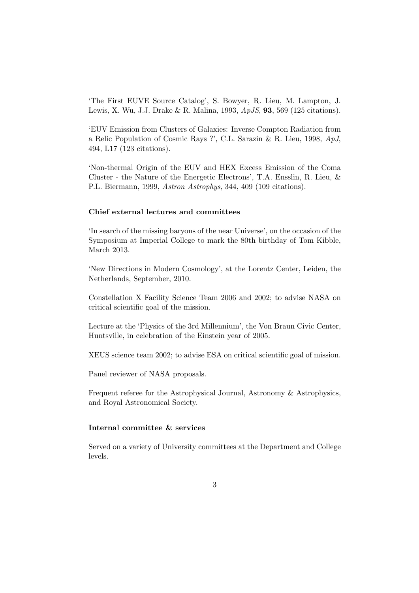'The First EUVE Source Catalog', S. Bowyer, R. Lieu, M. Lampton, J. Lewis, X. Wu, J.J. Drake & R. Malina, 1993, *ApJS*, **93**, 569 (125 citations).

'EUV Emission from Clusters of Galaxies: Inverse Compton Radiation from a Relic Population of Cosmic Rays ?', C.L. Sarazin & R. Lieu, 1998, *ApJ*, 494, L17 (123 citations).

'Non-thermal Origin of the EUV and HEX Excess Emission of the Coma Cluster - the Nature of the Energetic Electrons', T.A. Ensslin, R. Lieu, & P.L. Biermann, 1999, *Astron Astrophys*, 344, 409 (109 citations).

# **Chief external lectures and committees**

'In search of the missing baryons of the near Universe', on the occasion of the Symposium at Imperial College to mark the 80th birthday of Tom Kibble, March 2013.

'New Directions in Modern Cosmology', at the Lorentz Center, Leiden, the Netherlands, September, 2010.

Constellation X Facility Science Team 2006 and 2002; to advise NASA on critical scientific goal of the mission.

Lecture at the 'Physics of the 3rd Millennium', the Von Braun Civic Center, Huntsville, in celebration of the Einstein year of 2005.

XEUS science team 2002; to advise ESA on critical scientific goal of mission.

Panel reviewer of NASA proposals.

Frequent referee for the Astrophysical Journal, Astronomy & Astrophysics, and Royal Astronomical Society.

## **Internal committee & services**

Served on a variety of University committees at the Department and College levels.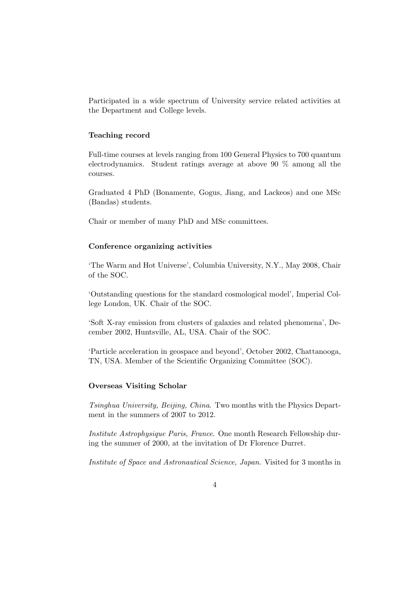Participated in a wide spectrum of University service related activities at the Department and College levels.

#### **Teaching record**

Full-time courses at levels ranging from 100 General Physics to 700 quantum electrodynamics. Student ratings average at above 90 % among all the courses.

Graduated 4 PhD (Bonamente, Gogus, Jiang, and Lackeos) and one MSc (Bandas) students.

Chair or member of many PhD and MSc committees.

## **Conference organizing activities**

'The Warm and Hot Universe', Columbia University, N.Y., May 2008, Chair of the SOC.

'Outstanding questions for the standard cosmological model', Imperial College London, UK. Chair of the SOC.

'Soft X-ray emission from clusters of galaxies and related phenomena', December 2002, Huntsville, AL, USA. Chair of the SOC.

'Particle acceleration in geospace and beyond', October 2002, Chattanooga, TN, USA. Member of the Scientific Organizing Committee (SOC).

#### **Overseas Visiting Scholar**

*Tsinghua University, Beijing, China*. Two months with the Physics Department in the summers of 2007 to 2012.

*Institute Astrophysique Paris, France*. One month Research Fellowship during the summer of 2000, at the invitation of Dr Florence Durret.

*Institute of Space and Astronautical Science, Japan*. Visited for 3 months in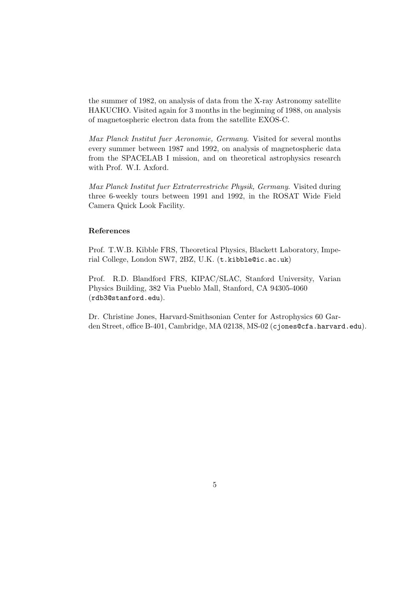the summer of 1982, on analysis of data from the X-ray Astronomy satellite HAKUCHO. Visited again for 3 months in the beginning of 1988, on analysis of magnetospheric electron data from the satellite EXOS-C.

*Max Planck Institut fuer Aeronomie, Germany*. Visited for several months every summer between 1987 and 1992, on analysis of magnetospheric data from the SPACELAB I mission, and on theoretical astrophysics research with Prof. W.I. Axford.

*Max Planck Institut fuer Extraterrestriche Physik, Germany*. Visited during three 6-weekly tours between 1991 and 1992, in the ROSAT Wide Field Camera Quick Look Facility.

#### **References**

Prof. T.W.B. Kibble FRS, Theoretical Physics, Blackett Laboratory, Imperial College, London SW7, 2BZ, U.K. (t.kibble@ic.ac.uk)

Prof. R.D. Blandford FRS, KIPAC/SLAC, Stanford University, Varian Physics Building, 382 Via Pueblo Mall, Stanford, CA 94305-4060 (rdb3@stanford.edu).

Dr. Christine Jones, Harvard-Smithsonian Center for Astrophysics 60 Garden Street, office B-401, Cambridge, MA 02138, MS-02 (cjones@cfa.harvard.edu).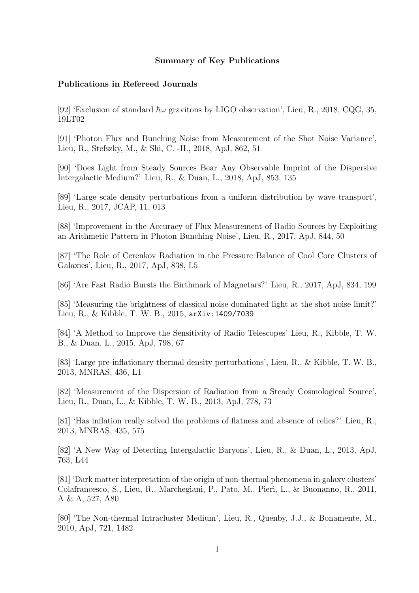# **Summary of Key Publications**

# **Publications in Refereed Journals**

[92] 'Exclusion of standard  $\hbar\omega$  gravitons by LIGO observation', Lieu, R., 2018, CQG, 35, 19LT02

[91] 'Photon Flux and Bunching Noise from Measurement of the Shot Noise Variance', Lieu, R., Stefszky, M., & Shi, C. -H., 2018, ApJ, 862, 51

[90] 'Does Light from Steady Sources Bear Any Observable Imprint of the Dispersive Intergalactic Medium?' Lieu, R., & Duan, L., 2018, ApJ, 853, 135

[89] 'Large scale density perturbations from a uniform distribution by wave transport', Lieu, R., 2017, JCAP, 11, 013

[88] 'Improvement in the Accuracy of Flux Measurement of Radio Sources by Exploiting an Arithmetic Pattern in Photon Bunching Noise', Lieu, R., 2017, ApJ, 844, 50

[87] 'The Role of Cerenkov Radiation in the Pressure Balance of Cool Core Clusters of Galaxies', Lieu, R., 2017, ApJ, 838, L5

[86] 'Are Fast Radio Bursts the Birthmark of Magnetars?' Lieu, R., 2017, ApJ, 834, 199

[85] 'Measuring the brightness of classical noise dominated light at the shot noise limit?' Lieu, R., & Kibble, T. W. B., 2015, arXiv:1409/7039

[84] 'A Method to Improve the Sensitivity of Radio Telescopes' Lieu, R., Kibble, T. W. B., & Duan, L., 2015, ApJ, 798, 67

[83] 'Large pre-inflationary thermal density perturbations', Lieu, R., & Kibble, T. W. B., 2013, MNRAS, 436, L1

[82] 'Measurement of the Dispersion of Radiation from a Steady Cosmological Source', Lieu, R., Duan, L., & Kibble, T. W. B., 2013, ApJ, 778, 73

[81] 'Has inflation really solved the problems of flatness and absence of relics?' Lieu, R., 2013, MNRAS, 435, 575

[82] 'A New Way of Detecting Intergalactic Baryons', Lieu, R., & Duan, L., 2013, ApJ, 763, L44

[81] 'Dark matter interpretation of the origin of non-thermal phenomena in galaxy clusters' Colafrancesco, S., Lieu, R., Marchegiani, P., Pato, M., Pieri, L., & Buonanno, R., 2011, A & A, 527, A80

[80] 'The Non-thermal Intracluster Medium', Lieu, R., Quenby, J.J., & Bonamente, M., 2010, ApJ, 721, 1482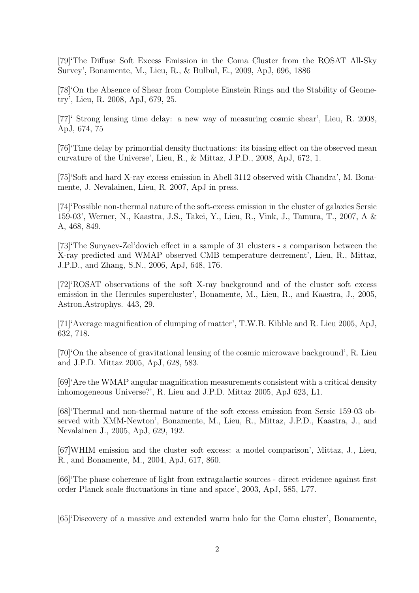[79]'The Diffuse Soft Excess Emission in the Coma Cluster from the ROSAT All-Sky Survey', Bonamente, M., Lieu, R., & Bulbul, E., 2009, ApJ, 696, 1886

[78]'On the Absence of Shear from Complete Einstein Rings and the Stability of Geometry', Lieu, R. 2008, ApJ, 679, 25.

[77]' Strong lensing time delay: a new way of measuring cosmic shear', Lieu, R. 2008, ApJ, 674, 75

[76]'Time delay by primordial density fluctuations: its biasing effect on the observed mean curvature of the Universe', Lieu, R., & Mittaz, J.P.D., 2008, ApJ, 672, 1.

[75]'Soft and hard X-ray excess emission in Abell 3112 observed with Chandra', M. Bonamente, J. Nevalainen, Lieu, R. 2007, ApJ in press.

[74]'Possible non-thermal nature of the soft-excess emission in the cluster of galaxies Sersic 159-03', Werner, N., Kaastra, J.S., Takei, Y., Lieu, R., Vink, J., Tamura, T., 2007, A & A, 468, 849.

[73]'The Sunyaev-Zel'dovich effect in a sample of 31 clusters - a comparison between the X-ray predicted and WMAP observed CMB temperature decrement', Lieu, R., Mittaz, J.P.D., and Zhang, S.N., 2006, ApJ, 648, 176.

[72]'ROSAT observations of the soft X-ray background and of the cluster soft excess emission in the Hercules supercluster', Bonamente, M., Lieu, R., and Kaastra, J., 2005, Astron.Astrophys. 443, 29.

[71]'Average magnification of clumping of matter', T.W.B. Kibble and R. Lieu 2005, ApJ, 632, 718.

[70]'On the absence of gravitational lensing of the cosmic microwave background', R. Lieu and J.P.D. Mittaz 2005, ApJ, 628, 583.

[69]'Are the WMAP angular magnification measurements consistent with a critical density inhomogeneous Universe?', R. Lieu and J.P.D. Mittaz 2005, ApJ 623, L1.

[68]'Thermal and non-thermal nature of the soft excess emission from Sersic 159-03 observed with XMM-Newton', Bonamente, M., Lieu, R., Mittaz, J.P.D., Kaastra, J., and Nevalainen J., 2005, ApJ, 629, 192.

[67]WHIM emission and the cluster soft excess: a model comparison', Mittaz, J., Lieu, R., and Bonamente, M., 2004, ApJ, 617, 860.

[66]'The phase coherence of light from extragalactic sources - direct evidence against first order Planck scale fluctuations in time and space', 2003, ApJ, 585, L77.

[65]'Discovery of a massive and extended warm halo for the Coma cluster', Bonamente,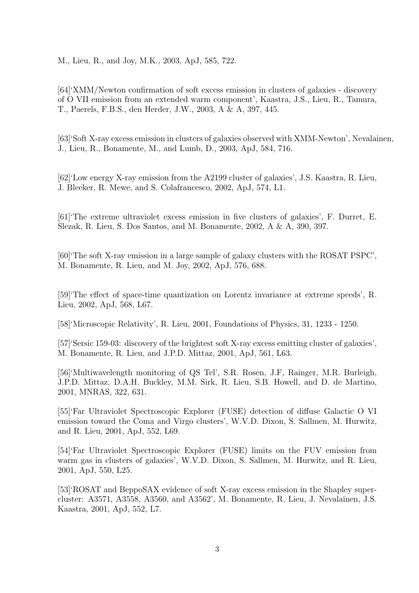M., Lieu, R., and Joy, M.K., 2003, ApJ, 585, 722.

[64]'XMM/Newton confirmation of soft excess emission in clusters of galaxies - discovery of O VII emission from an extended warm component', Kaastra, J.S., Lieu, R., Tamura, T., Paerels, F.B.S., den Herder, J.W., 2003, A & A, 397, 445.

[63]'Soft X-ray excess emission in clusters of galaxies observed with XMM-Newton', Nevalainen, J., Lieu, R., Bonamente, M., and Lumb, D., 2003, ApJ, 584, 716.

[62]'Low energy X-ray emission from the A2199 cluster of galaxies', J.S. Kaastra, R. Lieu, J. Bleeker, R. Mewe, and S. Colafrancesco, 2002, ApJ, 574, L1.

[61]'The extreme ultraviolet excess emission in five clusters of galaxies', F. Durret, E. Slezak, R. Lieu, S. Dos Santos, and M. Bonamente, 2002, A & A, 390, 397.

[60]'The soft X-ray emission in a large sample of galaxy clusters with the ROSAT PSPC', M. Bonamente, R. Lieu, and M. Joy, 2002, ApJ, 576, 688.

[59]'The effect of space-time quantization on Lorentz invariance at extreme speeds', R. Lieu, 2002, ApJ, 568, L67.

[58]'Microscopic Relativity', R. Lieu, 2001, Foundations of Physics, 31, 1233 - 1250.

[57]'Sersic 159-03: discovery of the brightest soft X-ray excess emitting cluster of galaxies', M. Bonamente, R. Lieu, and J.P.D. Mittaz, 2001, ApJ, 561, L63.

[56]'Multiwavelength monitoring of QS Tel', S.R. Rosen, J.F, Rainger, M.R. Burleigh, J.P.D. Mittaz, D.A.H. Buckley, M.M. Sirk, R. Lieu, S.B. Howell, and D. de Martino, 2001, MNRAS, 322, 631.

[55]'Far Ultraviolet Spectroscopic Explorer (FUSE) detection of diffuse Galactic O VI emission toward the Coma and Virgo clusters', W.V.D. Dixon, S. Sallmen, M. Hurwitz, and R. Lieu, 2001, ApJ, 552, L69.

[54]'Far Ultraviolet Spectroscopic Explorer (FUSE) limits on the FUV emission from warm gas in clusters of galaxies', W.V.D. Dixon, S. Sallmen, M. Hurwitz, and R. Lieu, 2001, ApJ, 550, L25.

[53]'ROSAT and BeppoSAX evidence of soft X-ray excess emission in the Shapley supercluster: A3571, A3558, A3560, and A3562', M. Bonamente, R. Lieu, J. Nevalainen, J.S. Kaastra, 2001, ApJ, 552, L7.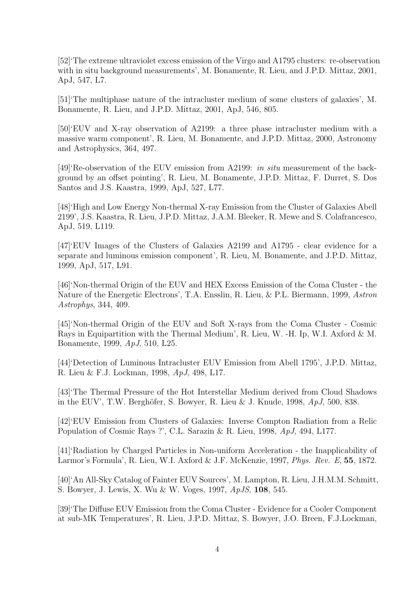[52]'The extreme ultraviolet excess emission of the Virgo and A1795 clusters: re-observation with in situ background measurements', M. Bonamente, R. Lieu, and J.P.D. Mittaz, 2001, ApJ, 547, L7.

[51]'The multiphase nature of the intracluster medium of some clusters of galaxies', M. Bonamente, R. Lieu, and J.P.D. Mittaz, 2001, ApJ, 546, 805.

[50]'EUV and X-ray observation of A2199: a three phase intracluster medium with a massive warm component', R. Lieu, M. Bonamente, and J.P.D. Mittaz, 2000, Astronomy and Astrophysics, 364, 497.

[49]'Re-observation of the EUV emission from A2199: *in situ* measurement of the background by an offset pointing', R. Lieu, M. Bonamente, J.P.D. Mittaz, F. Durret, S. Dos Santos and J.S. Kaastra, 1999, ApJ, 527, L77.

[48]'High and Low Energy Non-thermal X-ray Emission from the Cluster of Galaxies Abell 2199', J.S. Kaastra, R. Lieu, J.P.D. Mittaz, J.A.M. Bleeker, R. Mewe and S. Colafrancesco, ApJ, 519, L119.

[47]'EUV Images of the Clusters of Galaxies A2199 and A1795 - clear evidence for a separate and luminous emission component', R. Lieu, M. Bonamente, and J.P.D. Mittaz, 1999, ApJ, 517, L91.

[46]'Non-thermal Origin of the EUV and HEX Excess Emission of the Coma Cluster - the Nature of the Energetic Electrons', T.A. Ensslin, R. Lieu, & P.L. Biermann, 1999, *Astron Astrophys*, 344, 409.

[45]'Non-thermal Origin of the EUV and Soft X-rays from the Coma Cluster - Cosmic Rays in Equipartition with the Thermal Medium', R. Lieu, W. -H. Ip, W.I. Axford & M. Bonamente, 1999, *ApJ*, 510, L25.

[44]'Detection of Luminous Intracluster EUV Emission from Abell 1795', J.P.D. Mittaz, R. Lieu & F.J. Lockman, 1998, *ApJ*, 498, L17.

[43]'The Thermal Pressure of the Hot Interstellar Medium derived from Cloud Shadows in the EUV', T.W. Berghöfer, S. Bowyer, R. Lieu & J. Knude, 1998, ApJ, 500, 838.

[42]'EUV Emission from Clusters of Galaxies: Inverse Compton Radiation from a Relic Population of Cosmic Rays ?', C.L. Sarazin & R. Lieu, 1998, *ApJ*, 494, L177.

[41]'Radiation by Charged Particles in Non-uniform Acceleration - the Inapplicability of Larmor's Formula', R. Lieu, W.I. Axford & J.F. McKenzie, 1997, *Phys. Rev. E*, **55**, 1872.

[40]'An All-Sky Catalog of Fainter EUV Sources', M. Lampton, R. Lieu, J.H.M.M. Schmitt, S. Bowyer, J. Lewis, X. Wu & W. Voges, 1997, *ApJS*, **108**, 545.

[39]'The Diffuse EUV Emission from the Coma Cluster - Evidence for a Cooler Component at sub-MK Temperatures', R. Lieu, J.P.D. Mittaz, S. Bowyer, J.O. Breen, F.J.Lockman,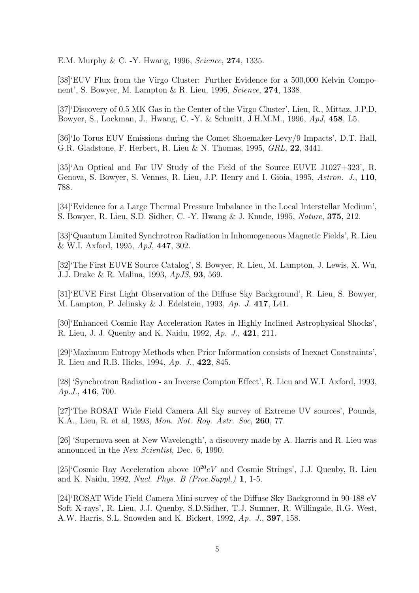E.M. Murphy & C. -Y. Hwang, 1996, *Science*, **274**, 1335.

[38]'EUV Flux from the Virgo Cluster: Further Evidence for a 500,000 Kelvin Component', S. Bowyer, M. Lampton & R. Lieu, 1996, *Science*, **274**, 1338.

[37]'Discovery of 0.5 MK Gas in the Center of the Virgo Cluster', Lieu, R., Mittaz, J.P.D, Bowyer, S., Lockman, J., Hwang, C. -Y. & Schmitt, J.H.M.M., 1996, *ApJ*, **458**, L5.

[36]'Io Torus EUV Emissions during the Comet Shoemaker-Levy/9 Impacts', D.T. Hall, G.R. Gladstone, F. Herbert, R. Lieu & N. Thomas, 1995, *GRL*, **22**, 3441.

[35]'An Optical and Far UV Study of the Field of the Source EUVE J1027+323', R. Genova, S. Bowyer, S. Vennes, R. Lieu, J.P. Henry and I. Gioia, 1995, *Astron. J.*, **110**, 788.

[34]'Evidence for a Large Thermal Pressure Imbalance in the Local Interstellar Medium', S. Bowyer, R. Lieu, S.D. Sidher, C. -Y. Hwang & J. Knude, 1995, *Nature*, **375**, 212.

[33]'Quantum Limited Synchrotron Radiation in Inhomogeneous Magnetic Fields', R. Lieu & W.I. Axford, 1995, *ApJ*, **447**, 302.

[32]'The First EUVE Source Catalog', S. Bowyer, R. Lieu, M. Lampton, J. Lewis, X. Wu, J.J. Drake & R. Malina, 1993, *ApJS*, **93**, 569.

[31]'EUVE First Light Observation of the Diffuse Sky Background', R. Lieu, S. Bowyer, M. Lampton, P. Jelinsky & J. Edelstein, 1993, *Ap. J.* **417**, L41.

[30]'Enhanced Cosmic Ray Acceleration Rates in Highly Inclined Astrophysical Shocks', R. Lieu, J. J. Quenby and K. Naidu, 1992, *Ap. J.*, **421**, 211.

[29]'Maximum Entropy Methods when Prior Information consists of Inexact Constraints', R. Lieu and R.B. Hicks, 1994, *Ap. J.*, **422**, 845.

[28] 'Synchrotron Radiation - an Inverse Compton Effect', R. Lieu and W.I. Axford, 1993, *Ap.J.*, **416**, 700.

[27]'The ROSAT Wide Field Camera All Sky survey of Extreme UV sources', Pounds, K.A., Lieu, R. et al, 1993, *Mon. Not. Roy. Astr. Soc*, **260**, 77.

[26] 'Supernova seen at New Wavelength', a discovery made by A. Harris and R. Lieu was announced in the *New Scientist*, Dec. 6, 1990.

[25]'Cosmic Ray Acceleration above  $10^{20}$ eV and Cosmic Strings', J.J. Quenby, R. Lieu and K. Naidu, 1992, *Nucl. Phys. B (Proc.Suppl.)* **1**, 1-5.

[24]'ROSAT Wide Field Camera Mini-survey of the Diffuse Sky Background in 90-188 eV Soft X-rays', R. Lieu, J.J. Quenby, S.D.Sidher, T.J. Sumner, R. Willingale, R.G. West, A.W. Harris, S.L. Snowden and K. Bickert, 1992, *Ap. J.*, **397**, 158.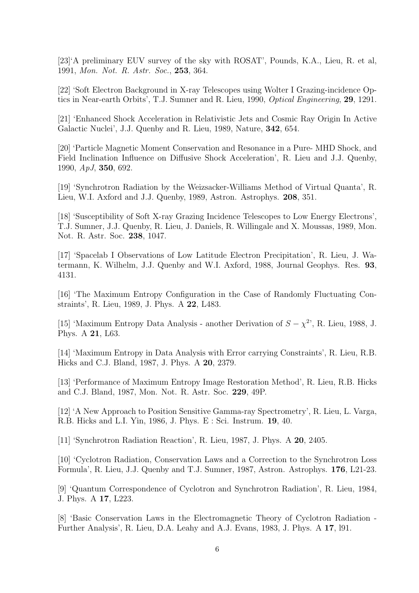[23]'A preliminary EUV survey of the sky with ROSAT', Pounds, K.A., Lieu, R. et al, 1991, *Mon. Not. R. Astr. Soc.*, **253**, 364.

[22] 'Soft Electron Background in X-ray Telescopes using Wolter I Grazing-incidence Optics in Near-earth Orbits', T.J. Sumner and R. Lieu, 1990, *Optical Engineering*, **29**, 1291.

[21] 'Enhanced Shock Acceleration in Relativistic Jets and Cosmic Ray Origin In Active Galactic Nuclei', J.J. Quenby and R. Lieu, 1989, Nature, **342**, 654.

[20] 'Particle Magnetic Moment Conservation and Resonance in a Pure- MHD Shock, and Field Inclination Influence on Diffusive Shock Acceleration', R. Lieu and J.J. Quenby, 1990, *ApJ*, **350**, 692.

[19] 'Synchrotron Radiation by the Weizsacker-Williams Method of Virtual Quanta', R. Lieu, W.I. Axford and J.J. Quenby, 1989, Astron. Astrophys. **208**, 351.

[18] 'Susceptibility of Soft X-ray Grazing Incidence Telescopes to Low Energy Electrons', T.J. Sumner, J.J. Quenby, R. Lieu, J. Daniels, R. Willingale and X. Moussas, 1989, Mon. Not. R. Astr. Soc. **238**, 1047.

[17] 'Spacelab I Observations of Low Latitude Electron Precipitation', R. Lieu, J. Watermann, K. Wilhelm, J.J. Quenby and W.I. Axford, 1988, Journal Geophys. Res. **93**, 4131.

[16] 'The Maximum Entropy Configuration in the Case of Randomly Fluctuating Constraints', R. Lieu, 1989, J. Phys. A **22**, L483.

[15] 'Maximum Entropy Data Analysis - another Derivation of  $S - \chi^2$ ', R. Lieu, 1988, J. Phys. A **21**, L63.

[14] 'Maximum Entropy in Data Analysis with Error carrying Constraints', R. Lieu, R.B. Hicks and C.J. Bland, 1987, J. Phys. A **20**, 2379.

[13] 'Performance of Maximum Entropy Image Restoration Method', R. Lieu, R.B. Hicks and C.J. Bland, 1987, Mon. Not. R. Astr. Soc. **229**, 49P.

[12] 'A New Approach to Position Sensitive Gamma-ray Spectrometry', R. Lieu, L. Varga, R.B. Hicks and L.I. Yin, 1986, J. Phys. E : Sci. Instrum. **19**, 40.

[11] 'Synchrotron Radiation Reaction', R. Lieu, 1987, J. Phys. A **20**, 2405.

[10] 'Cyclotron Radiation, Conservation Laws and a Correction to the Synchrotron Loss Formula', R. Lieu, J.J. Quenby and T.J. Sumner, 1987, Astron. Astrophys. **176**, L21-23.

[9] 'Quantum Correspondence of Cyclotron and Synchrotron Radiation', R. Lieu, 1984, J. Phys. A **17**, L223.

[8] 'Basic Conservation Laws in the Electromagnetic Theory of Cyclotron Radiation - Further Analysis', R. Lieu, D.A. Leahy and A.J. Evans, 1983, J. Phys. A **17**, l91.